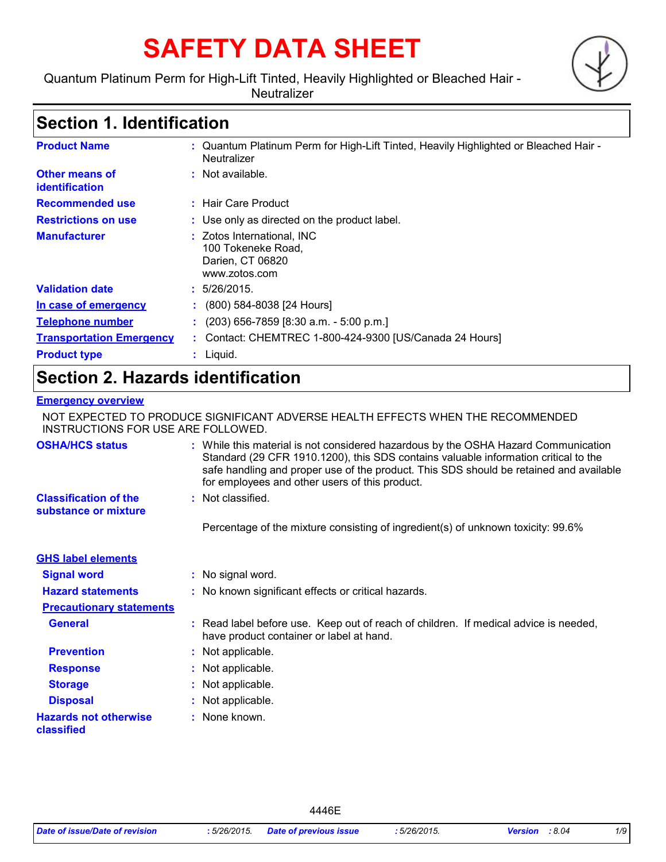# **SAFETY DATA SHEET**

### Quantum Platinum Perm for High-Lift Tinted, Heavily Highlighted or Bleached Hair -

**Neutralizer** 

### **Section 1. Identification**

| <b>Product Name</b>                     | : Quantum Platinum Perm for High-Lift Tinted, Heavily Highlighted or Bleached Hair -<br>Neutralizer |
|-----------------------------------------|-----------------------------------------------------------------------------------------------------|
| Other means of<br><b>identification</b> | $:$ Not available.                                                                                  |
| <b>Recommended use</b>                  | : Hair Care Product                                                                                 |
| <b>Restrictions on use</b>              | : Use only as directed on the product label.                                                        |
| <b>Manufacturer</b>                     | : Zotos International, INC<br>100 Tokeneke Road,<br>Darien, CT 06820<br>www.zotos.com               |
| <b>Validation date</b>                  | : 5/26/2015.                                                                                        |
| In case of emergency                    | (800) 584-8038 [24 Hours]                                                                           |
| <b>Telephone number</b>                 | $(203)$ 656-7859 [8:30 a.m. - 5:00 p.m.]                                                            |
| <b>Transportation Emergency</b>         | Contact: CHEMTREC 1-800-424-9300 [US/Canada 24 Hours]                                               |
| <b>Product type</b>                     | Liquid.                                                                                             |

### **Section 2. Hazards identification**

#### **Emergency overview**

NOT EXPECTED TO PRODUCE SIGNIFICANT ADVERSE HEALTH EFFECTS WHEN THE RECOMMENDED INSTRUCTIONS FOR USE ARE FOLLOWED.

| <b>OSHA/HCS status</b>                               | : While this material is not considered hazardous by the OSHA Hazard Communication<br>Standard (29 CFR 1910.1200), this SDS contains valuable information critical to the<br>safe handling and proper use of the product. This SDS should be retained and available<br>for employees and other users of this product. |
|------------------------------------------------------|-----------------------------------------------------------------------------------------------------------------------------------------------------------------------------------------------------------------------------------------------------------------------------------------------------------------------|
| <b>Classification of the</b><br>substance or mixture | : Not classified.                                                                                                                                                                                                                                                                                                     |
|                                                      | Percentage of the mixture consisting of ingredient(s) of unknown toxicity: 99.6%                                                                                                                                                                                                                                      |
| <b>GHS label elements</b>                            |                                                                                                                                                                                                                                                                                                                       |
| <b>Signal word</b>                                   | : No signal word.                                                                                                                                                                                                                                                                                                     |
| <b>Hazard statements</b>                             | : No known significant effects or critical hazards.                                                                                                                                                                                                                                                                   |
| <b>Precautionary statements</b>                      |                                                                                                                                                                                                                                                                                                                       |
| <b>General</b>                                       | : Read label before use. Keep out of reach of children. If medical advice is needed,<br>have product container or label at hand.                                                                                                                                                                                      |
| <b>Prevention</b>                                    | : Not applicable.                                                                                                                                                                                                                                                                                                     |
| <b>Response</b>                                      | : Not applicable.                                                                                                                                                                                                                                                                                                     |
| <b>Storage</b>                                       | : Not applicable.                                                                                                                                                                                                                                                                                                     |
| <b>Disposal</b>                                      | : Not applicable.                                                                                                                                                                                                                                                                                                     |
| <b>Hazards not otherwise</b><br>classified           | : None known.                                                                                                                                                                                                                                                                                                         |

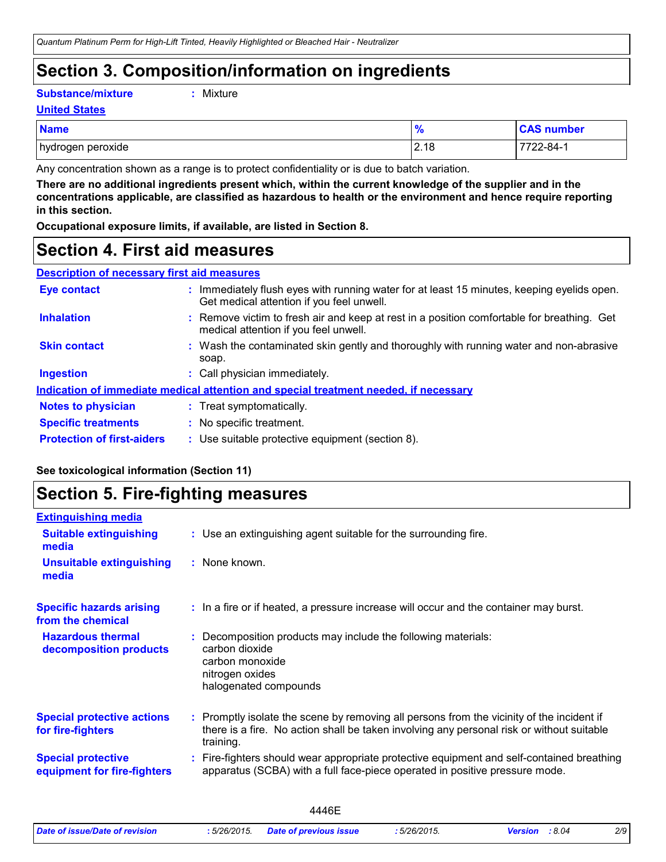### **Section 3. Composition/information on ingredients**

**Substance/mixture :**

```
: Mixture
```
**United States**

| <b>Name</b>       | $\mathbf{a}$<br>70 | <b>CAS number</b> |
|-------------------|--------------------|-------------------|
| hydrogen peroxide | 2.18               | 7722-84-1         |

Any concentration shown as a range is to protect confidentiality or is due to batch variation.

**There are no additional ingredients present which, within the current knowledge of the supplier and in the concentrations applicable, are classified as hazardous to health or the environment and hence require reporting in this section.**

**Occupational exposure limits, if available, are listed in Section 8.**

### **Section 4. First aid measures**

| <b>Description of necessary first aid measures</b> |                                                                                                                                         |
|----------------------------------------------------|-----------------------------------------------------------------------------------------------------------------------------------------|
| <b>Eye contact</b>                                 | : Immediately flush eyes with running water for at least 15 minutes, keeping eyelids open.<br>Get medical attention if you feel unwell. |
| <b>Inhalation</b>                                  | : Remove victim to fresh air and keep at rest in a position comfortable for breathing. Get<br>medical attention if you feel unwell.     |
| <b>Skin contact</b>                                | : Wash the contaminated skin gently and thoroughly with running water and non-abrasive<br>soap.                                         |
| <b>Ingestion</b>                                   | : Call physician immediately.                                                                                                           |
|                                                    | Indication of immediate medical attention and special treatment needed, if necessary                                                    |
| <b>Notes to physician</b>                          | : Treat symptomatically.                                                                                                                |
| <b>Specific treatments</b>                         | : No specific treatment.                                                                                                                |
| <b>Protection of first-aiders</b>                  | : Use suitable protective equipment (section 8).                                                                                        |

#### **See toxicological information (Section 11)**

### **Section 5. Fire-fighting measures**

| <b>Extinguishing media</b>                               |                                                                                                                                                                                                     |
|----------------------------------------------------------|-----------------------------------------------------------------------------------------------------------------------------------------------------------------------------------------------------|
| <b>Suitable extinguishing</b><br>media                   | : Use an extinguishing agent suitable for the surrounding fire.                                                                                                                                     |
| <b>Unsuitable extinguishing</b><br>media                 | : None known.                                                                                                                                                                                       |
| <b>Specific hazards arising</b><br>from the chemical     | : In a fire or if heated, a pressure increase will occur and the container may burst.                                                                                                               |
| <b>Hazardous thermal</b><br>decomposition products       | Decomposition products may include the following materials:<br>carbon dioxide<br>carbon monoxide<br>nitrogen oxides<br>halogenated compounds                                                        |
| <b>Special protective actions</b><br>for fire-fighters   | : Promptly isolate the scene by removing all persons from the vicinity of the incident if<br>there is a fire. No action shall be taken involving any personal risk or without suitable<br>training. |
| <b>Special protective</b><br>equipment for fire-fighters | Fire-fighters should wear appropriate protective equipment and self-contained breathing<br>apparatus (SCBA) with a full face-piece operated in positive pressure mode.                              |
|                                                          |                                                                                                                                                                                                     |

|                                |              | 446F                          |           |                         |     |
|--------------------------------|--------------|-------------------------------|-----------|-------------------------|-----|
| Date of issue/Date of revision | : 5/26/2015. | <b>Date of previous issue</b> | 5/26/2015 | :8.04<br><b>Version</b> | 2/9 |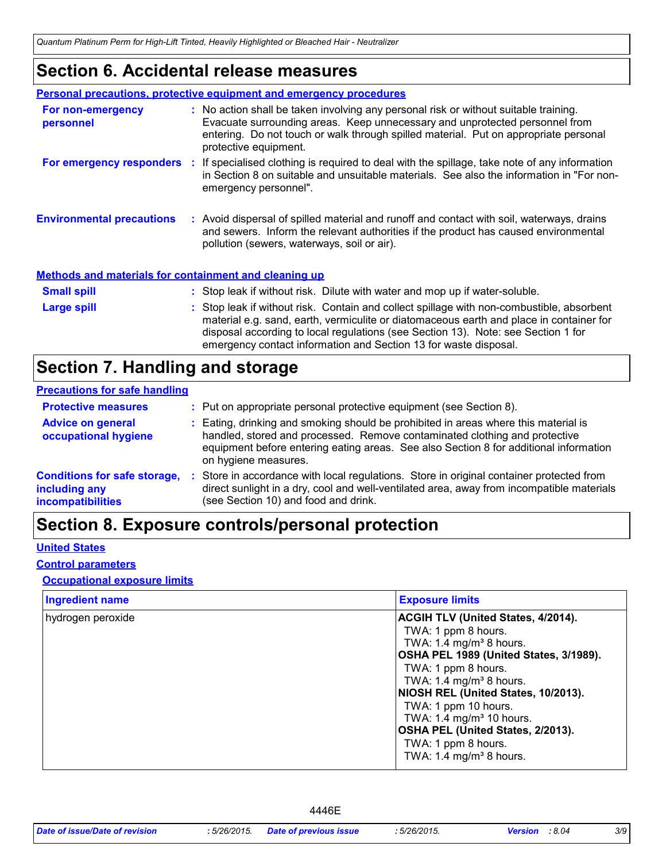*Quantum Platinum Perm for High-Lift Tinted, Heavily Highlighted or Bleached Hair - Neutralizer*

### **Section 6. Accidental release measures**

|                                                              | <b>Personal precautions, protective equipment and emergency procedures</b>                                                                                                                                                                                                                                                                    |
|--------------------------------------------------------------|-----------------------------------------------------------------------------------------------------------------------------------------------------------------------------------------------------------------------------------------------------------------------------------------------------------------------------------------------|
| For non-emergency<br>personnel                               | : No action shall be taken involving any personal risk or without suitable training.<br>Evacuate surrounding areas. Keep unnecessary and unprotected personnel from<br>entering. Do not touch or walk through spilled material. Put on appropriate personal<br>protective equipment.                                                          |
|                                                              | For emergency responders : If specialised clothing is required to deal with the spillage, take note of any information<br>in Section 8 on suitable and unsuitable materials. See also the information in "For non-<br>emergency personnel".                                                                                                   |
| <b>Environmental precautions</b>                             | : Avoid dispersal of spilled material and runoff and contact with soil, waterways, drains<br>and sewers. Inform the relevant authorities if the product has caused environmental<br>pollution (sewers, waterways, soil or air).                                                                                                               |
| <b>Methods and materials for containment and cleaning up</b> |                                                                                                                                                                                                                                                                                                                                               |
| <b>Small spill</b>                                           | : Stop leak if without risk. Dilute with water and mop up if water-soluble.                                                                                                                                                                                                                                                                   |
| <b>Large spill</b>                                           | : Stop leak if without risk. Contain and collect spillage with non-combustible, absorbent<br>material e.g. sand, earth, vermiculite or diatomaceous earth and place in container for<br>disposal according to local regulations (see Section 13). Note: see Section 1 for<br>emergency contact information and Section 13 for waste disposal. |

### **Section 7. Handling and storage**

#### **Precautions for safe handling**

| <b>Protective measures</b>                                                | : Put on appropriate personal protective equipment (see Section 8).                                                                                                                                                                                                                |
|---------------------------------------------------------------------------|------------------------------------------------------------------------------------------------------------------------------------------------------------------------------------------------------------------------------------------------------------------------------------|
| <b>Advice on general</b><br>occupational hygiene                          | : Eating, drinking and smoking should be prohibited in areas where this material is<br>handled, stored and processed. Remove contaminated clothing and protective<br>equipment before entering eating areas. See also Section 8 for additional information<br>on hygiene measures. |
| <b>Conditions for safe storage,</b><br>including any<br>incompatibilities | Store in accordance with local regulations. Store in original container protected from<br>direct sunlight in a dry, cool and well-ventilated area, away from incompatible materials<br>(see Section 10) and food and drink.                                                        |

### **Section 8. Exposure controls/personal protection**

#### **United States**

#### **Control parameters**

#### **Occupational exposure limits**

| <b>Ingredient name</b> | <b>Exposure limits</b>                                                                                                                                                                                                                                 |
|------------------------|--------------------------------------------------------------------------------------------------------------------------------------------------------------------------------------------------------------------------------------------------------|
| hydrogen peroxide      | <b>ACGIH TLV (United States, 4/2014).</b><br>TWA: 1 ppm 8 hours.<br>TWA: 1.4 mg/m <sup>3</sup> 8 hours.<br>OSHA PEL 1989 (United States, 3/1989).<br>TWA: 1 ppm 8 hours.<br>TWA: 1.4 mg/m <sup>3</sup> 8 hours.<br>NIOSH REL (United States, 10/2013). |
|                        | TWA: 1 ppm 10 hours.<br>TWA: 1.4 mg/m <sup>3</sup> 10 hours.<br>OSHA PEL (United States, 2/2013).<br>TWA: 1 ppm 8 hours.<br>TWA: $1.4 \text{ mg/m}^3$ 8 hours.                                                                                         |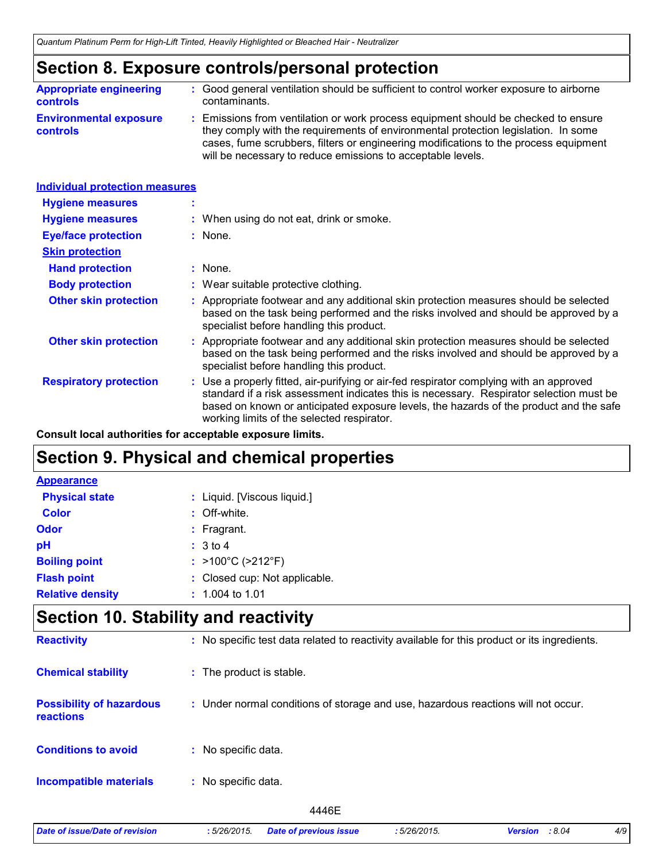### **Section 8. Exposure controls/personal protection**

| <b>Appropriate engineering</b>                   | : Good general ventilation should be sufficient to control worker exposure to airborne                                                                                                                                                                                                                                          |
|--------------------------------------------------|---------------------------------------------------------------------------------------------------------------------------------------------------------------------------------------------------------------------------------------------------------------------------------------------------------------------------------|
| <b>controls</b>                                  | contaminants.                                                                                                                                                                                                                                                                                                                   |
| <b>Environmental exposure</b><br><b>controls</b> | : Emissions from ventilation or work process equipment should be checked to ensure<br>they comply with the requirements of environmental protection legislation. In some<br>cases, fume scrubbers, filters or engineering modifications to the process equipment<br>will be necessary to reduce emissions to acceptable levels. |

| <b>Individual protection measures</b> |                                                                                                                                                                                                                                                                                                                            |
|---------------------------------------|----------------------------------------------------------------------------------------------------------------------------------------------------------------------------------------------------------------------------------------------------------------------------------------------------------------------------|
| <b>Hygiene measures</b>               |                                                                                                                                                                                                                                                                                                                            |
| <b>Hygiene measures</b>               | : When using do not eat, drink or smoke.                                                                                                                                                                                                                                                                                   |
| <b>Eye/face protection</b>            | : None.                                                                                                                                                                                                                                                                                                                    |
| <b>Skin protection</b>                |                                                                                                                                                                                                                                                                                                                            |
| <b>Hand protection</b>                | $:$ None.                                                                                                                                                                                                                                                                                                                  |
| <b>Body protection</b>                | : Wear suitable protective clothing.                                                                                                                                                                                                                                                                                       |
| <b>Other skin protection</b>          | : Appropriate footwear and any additional skin protection measures should be selected<br>based on the task being performed and the risks involved and should be approved by a<br>specialist before handling this product.                                                                                                  |
| <b>Other skin protection</b>          | : Appropriate footwear and any additional skin protection measures should be selected<br>based on the task being performed and the risks involved and should be approved by a<br>specialist before handling this product.                                                                                                  |
| <b>Respiratory protection</b>         | : Use a properly fitted, air-purifying or air-fed respirator complying with an approved<br>standard if a risk assessment indicates this is necessary. Respirator selection must be<br>based on known or anticipated exposure levels, the hazards of the product and the safe<br>working limits of the selected respirator. |

**Consult local authorities for acceptable exposure limits.**

### **Section 9. Physical and chemical properties**

| <b>Appearance</b>       |                               |
|-------------------------|-------------------------------|
| <b>Physical state</b>   | : Liquid. [Viscous liquid.]   |
| <b>Color</b>            | : Off-white.                  |
| Odor                    | $:$ Fragrant.                 |
| pH                      | : 3 to 4                      |
| <b>Boiling point</b>    | : >100°C (>212°F)             |
| <b>Flash point</b>      | : Closed cup: Not applicable. |
| <b>Relative density</b> | $: 1.004$ to 1.01             |

### **Section 10. Stability and reactivity**

| <b>Reactivity</b>                            | : No specific test data related to reactivity available for this product or its ingredients. |
|----------------------------------------------|----------------------------------------------------------------------------------------------|
| <b>Chemical stability</b>                    | : The product is stable.                                                                     |
| <b>Possibility of hazardous</b><br>reactions | : Under normal conditions of storage and use, hazardous reactions will not occur.            |
| <b>Conditions to avoid</b>                   | : No specific data.                                                                          |
| <b>Incompatible materials</b>                | No specific data.<br>÷.                                                                      |
|                                              | 4446E                                                                                        |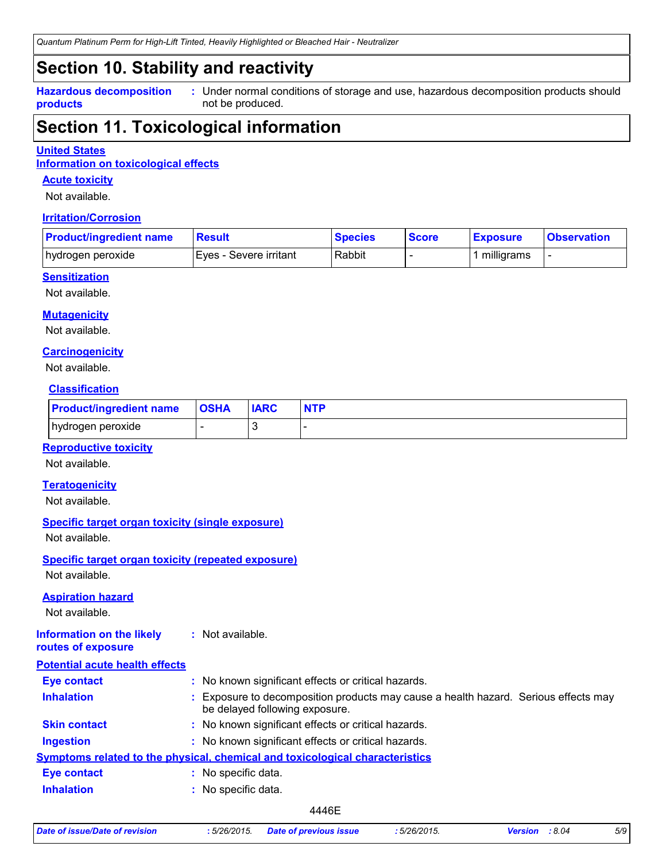*Quantum Platinum Perm for High-Lift Tinted, Heavily Highlighted or Bleached Hair - Neutralizer*

### **Section 10. Stability and reactivity**

**Hazardous decomposition products**

Under normal conditions of storage and use, hazardous decomposition products should **:** not be produced.

### **Section 11. Toxicological information**

#### **United States**

**Information on toxicological effects**

#### **Acute toxicity**

Not available.

#### **Irritation/Corrosion**

| <b>Product/ingredient name</b> | <b>Result</b>           | <b>Species</b> | <b>Score</b> | <b>Exposure</b> | <b>Observation</b> |
|--------------------------------|-------------------------|----------------|--------------|-----------------|--------------------|
| hydrogen peroxide              | IEves - Severe irritant | Rabbit         |              | milligrams      |                    |

#### **Sensitization**

Not available.

#### **Mutagenicity**

Not available.

#### **Carcinogenicity**

Not available.

#### **Classification**

| <b>Product/ingredient name</b> | <b>OSHA</b> | <b>IARC</b> | <b>NTP</b> |
|--------------------------------|-------------|-------------|------------|
| hydrogen peroxide              |             |             |            |

#### **Reproductive toxicity**

Not available.

#### **Teratogenicity**

Not available.

#### **Specific target organ toxicity (single exposure)**

Not available.

### **Specific target organ toxicity (repeated exposure)**

Not available.

#### **Aspiration hazard**

Not available.

#### **Information on the likely routes of exposure :** Not available.

| <b>Potential acute health effects</b> |    |                                                                                                                     |
|---------------------------------------|----|---------------------------------------------------------------------------------------------------------------------|
| <b>Eye contact</b>                    |    | : No known significant effects or critical hazards.                                                                 |
| <b>Inhalation</b>                     |    | Exposure to decomposition products may cause a health hazard. Serious effects may<br>be delayed following exposure. |
| <b>Skin contact</b>                   |    | : No known significant effects or critical hazards.                                                                 |
| <b>Ingestion</b>                      |    | : No known significant effects or critical hazards.                                                                 |
|                                       |    | Symptoms related to the physical, chemical and toxicological characteristics                                        |
| <b>Eye contact</b>                    | ÷. | No specific data.                                                                                                   |
| <b>Inhalation</b>                     |    | : No specific data.                                                                                                 |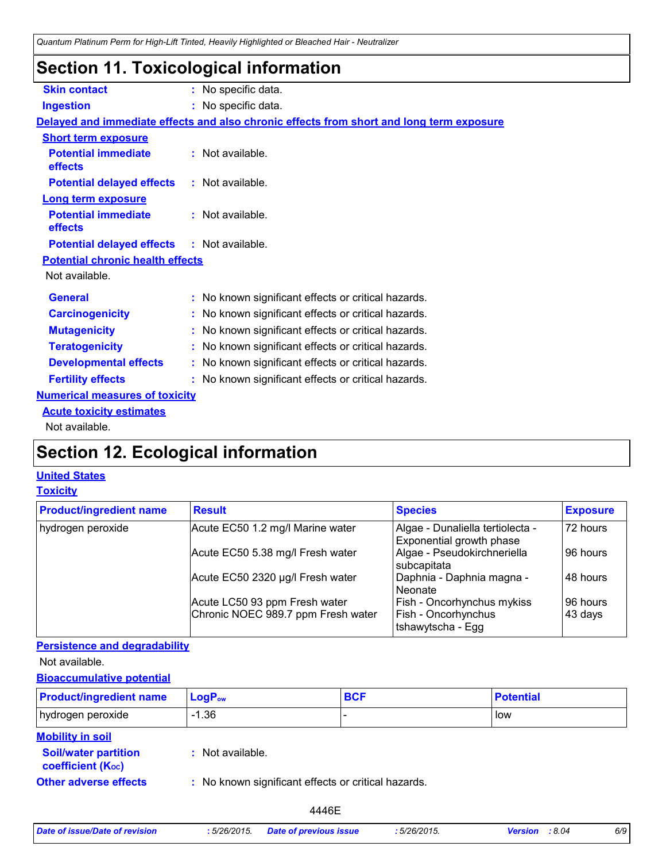### **Section 11. Toxicological information**

| <b>Skin contact</b>                               | : No specific data.                                                                      |
|---------------------------------------------------|------------------------------------------------------------------------------------------|
| <b>Ingestion</b>                                  | : No specific data.                                                                      |
|                                                   | Delayed and immediate effects and also chronic effects from short and long term exposure |
| <b>Short term exposure</b>                        |                                                                                          |
| <b>Potential immediate</b><br>effects             | : Not available.                                                                         |
| <b>Potential delayed effects</b>                  | : Not available.                                                                         |
| <b>Long term exposure</b>                         |                                                                                          |
| <b>Potential immediate</b><br>effects             | : Not available.                                                                         |
| <b>Potential delayed effects : Not available.</b> |                                                                                          |
| <b>Potential chronic health effects</b>           |                                                                                          |
| Not available.                                    |                                                                                          |
| <b>General</b>                                    | : No known significant effects or critical hazards.                                      |
| <b>Carcinogenicity</b>                            | : No known significant effects or critical hazards.                                      |
| <b>Mutagenicity</b>                               | : No known significant effects or critical hazards.                                      |
| <b>Teratogenicity</b>                             | : No known significant effects or critical hazards.                                      |
| <b>Developmental effects</b>                      | : No known significant effects or critical hazards.                                      |
| <b>Fertility effects</b>                          | : No known significant effects or critical hazards.                                      |
| <b>Numerical measures of toxicity</b>             |                                                                                          |
| <b>Acute toxicity estimates</b>                   |                                                                                          |
| Not available.                                    |                                                                                          |

## **Section 12. Ecological information**

### **United States**

#### **Toxicity**

| <b>Product/ingredient name</b> | <b>Result</b>                      | <b>Species</b>                                               | <b>Exposure</b> |
|--------------------------------|------------------------------------|--------------------------------------------------------------|-----------------|
| hydrogen peroxide              | Acute EC50 1.2 mg/l Marine water   | Algae - Dunaliella tertiolecta -<br>Exponential growth phase | 72 hours        |
|                                | Acute EC50 5.38 mg/l Fresh water   | Algae - Pseudokirchneriella<br>subcapitata                   | 96 hours        |
|                                | Acute EC50 2320 µg/l Fresh water   | Daphnia - Daphnia magna -<br>Neonate                         | 48 hours        |
|                                | Acute LC50 93 ppm Fresh water      | Fish - Oncorhynchus mykiss                                   | 96 hours        |
|                                | Chronic NOEC 989.7 ppm Fresh water | Fish - Oncorhynchus<br>Itshawytscha - Egg                    | 43 days         |

#### **Persistence and degradability**

Not available.

#### **Bioaccumulative potential**

| <b>Product/ingredient name</b>                           | $LogP_{ow}$                                         | <b>BCF</b> | <b>Potential</b> |
|----------------------------------------------------------|-----------------------------------------------------|------------|------------------|
| hydrogen peroxide                                        | $-1.36$                                             |            | low              |
| <b>Mobility in soil</b><br><b>Soil/water partition</b>   | : Not available.                                    |            |                  |
| <b>coefficient (Koc)</b><br><b>Other adverse effects</b> | : No known significant effects or critical hazards. |            |                  |

| Date of issue/Date of revision | :5/26/2015. | <b>Date of previous issue</b> |
|--------------------------------|-------------|-------------------------------|
|--------------------------------|-------------|-------------------------------|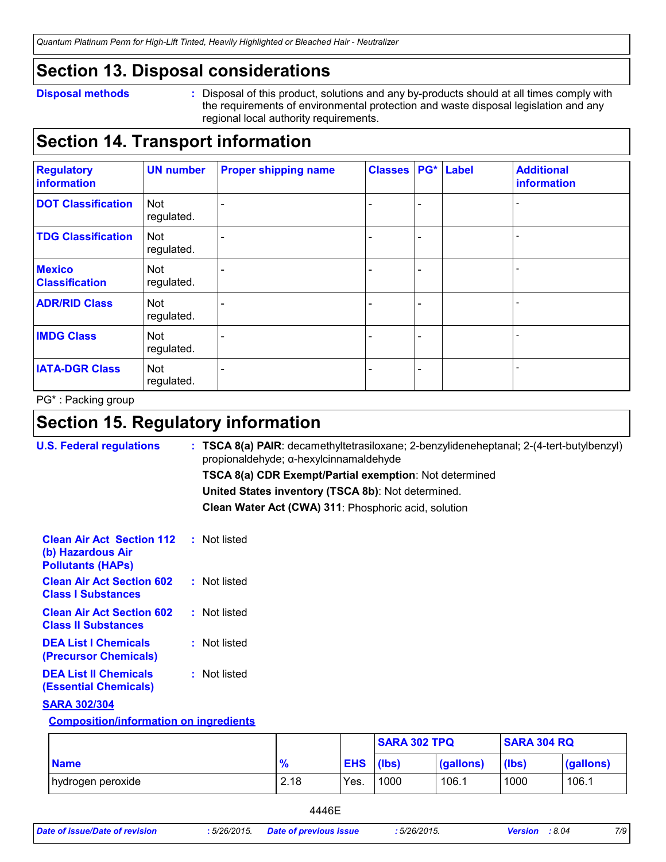*Quantum Platinum Perm for High-Lift Tinted, Heavily Highlighted or Bleached Hair - Neutralizer*

### **Section 13. Disposal considerations**

#### **Disposal methods :**

Disposal of this product, solutions and any by-products should at all times comply with the requirements of environmental protection and waste disposal legislation and any regional local authority requirements.

### **Section 14. Transport information**

| <b>Regulatory</b><br>information       | <b>UN number</b>         | <b>Proper shipping name</b> | <b>Classes</b> |   | <b>PG*</b> Label | <b>Additional</b><br>information |
|----------------------------------------|--------------------------|-----------------------------|----------------|---|------------------|----------------------------------|
| <b>DOT Classification</b>              | Not<br>regulated.        |                             |                | ÷ |                  |                                  |
| <b>TDG Classification</b>              | <b>Not</b><br>regulated. |                             |                |   |                  |                                  |
| <b>Mexico</b><br><b>Classification</b> | Not<br>regulated.        |                             |                | ۳ |                  |                                  |
| <b>ADR/RID Class</b>                   | Not<br>regulated.        |                             |                |   |                  |                                  |
| <b>IMDG Class</b>                      | Not<br>regulated.        |                             |                |   |                  |                                  |
| <b>IATA-DGR Class</b>                  | Not<br>regulated.        |                             |                |   |                  |                                  |

PG\* : Packing group

### **Section 15. Regulatory information**

| <b>U.S. Federal regulations</b>                                                   | $:$ TSCA 8(a) PAIR: decamethyltetrasiloxane; 2-benzylideneheptanal; 2-(4-tert-butylbenzyl)<br>propionaldehyde; α-hexylcinnamaldehyde |
|-----------------------------------------------------------------------------------|--------------------------------------------------------------------------------------------------------------------------------------|
|                                                                                   | TSCA 8(a) CDR Exempt/Partial exemption: Not determined                                                                               |
|                                                                                   | United States inventory (TSCA 8b): Not determined.                                                                                   |
|                                                                                   | Clean Water Act (CWA) 311: Phosphoric acid, solution                                                                                 |
| <b>Clean Air Act Section 112</b><br>(b) Hazardous Air<br><b>Pollutants (HAPS)</b> | : Not listed                                                                                                                         |
| <b>Clean Air Act Section 602</b><br><b>Class I Substances</b>                     | : Not listed                                                                                                                         |
| <b>Clean Air Act Section 602</b><br><b>Class II Substances</b>                    | : Not listed                                                                                                                         |
| <b>DEA List I Chemicals</b><br>(Precursor Chemicals)                              | : Not listed                                                                                                                         |
| <b>DEA List II Chemicals</b><br><b>(Essential Chemicals)</b>                      | : Not listed                                                                                                                         |
| <b>SARA 302/304</b>                                                               |                                                                                                                                      |
| <b>Composition/information on ingredients</b>                                     |                                                                                                                                      |

|                   |               |                  | <b>SARA 302 TPQ</b> |           |                  | <b>SARA 304 RQ</b> |  |
|-------------------|---------------|------------------|---------------------|-----------|------------------|--------------------|--|
| <b>Name</b>       | $\frac{9}{6}$ | <b>EHS</b> (lbs) |                     | (gallons) | $(\mathsf{lbs})$ | (gallons)          |  |
| hydrogen peroxide | 2.18          | Yes.             | 1000                | 106.1     | 1000             | 106.1              |  |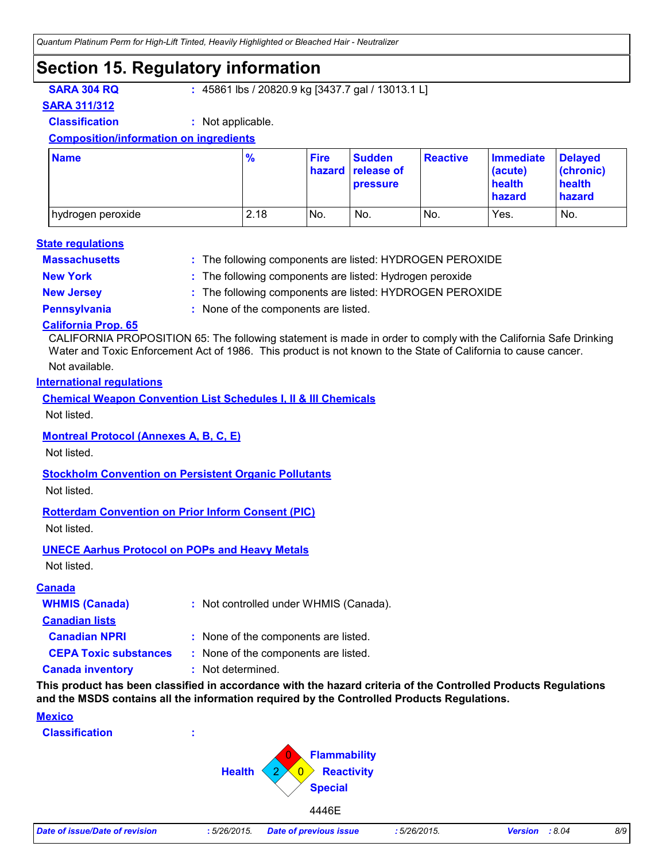### **Section 15. Regulatory information**

**SARA 304 RQ :** 45861 lbs / 20820.9 kg [3437.7 gal / 13013.1 L]

**SARA 311/312**

**Classification :** Not applicable.

#### **Composition/information on ingredients**

| <b>Name</b>       | $\frac{9}{6}$ | <b>Fire</b> | <b>Sudden</b><br>hazard release of<br><b>pressure</b> | <b>Reactive</b> | <b>Immediate</b><br>(acute)<br>health<br>hazard | <b>Delayed</b><br>(chronic)<br>health<br>hazard |
|-------------------|---------------|-------------|-------------------------------------------------------|-----------------|-------------------------------------------------|-------------------------------------------------|
| hydrogen peroxide | 2.18          | No.         | No.                                                   | No.             | Yes.                                            | No.                                             |

#### **State regulations**

**Massachusetts :**

- The following components are listed: HYDROGEN PEROXIDE
- 
- **New York :** The following components are listed: Hydrogen peroxide
- **New Jersey :** The following components are listed: HYDROGEN PEROXIDE
- 
- **Pennsylvania :** None of the components are listed.

#### **California Prop. 65**

CALIFORNIA PROPOSITION 65: The following statement is made in order to comply with the California Safe Drinking Water and Toxic Enforcement Act of 1986. This product is not known to the State of California to cause cancer.

#### Not available.

#### **International regulations**

**Chemical Weapon Convention List Schedules I, II & III Chemicals**

Not listed.

#### **Montreal Protocol (Annexes A, B, C, E)**

Not listed.

#### **Stockholm Convention on Persistent Organic Pollutants**

Not listed.

#### **Rotterdam Convention on Prior Inform Consent (PIC)**

Not listed.

#### **UNECE Aarhus Protocol on POPs and Heavy Metals**

Not listed.

#### **Canada**

| <b>WHMIS (Canada)</b>        | : Not controlled under WHMIS (Canada). |
|------------------------------|----------------------------------------|
| <b>Canadian lists</b>        |                                        |
| <b>Canadian NPRI</b>         | : None of the components are listed.   |
| <b>CEPA Toxic substances</b> | : None of the components are listed.   |
| <b>Canada inventory</b>      | : Not determined.                      |

**This product has been classified in accordance with the hazard criteria of the Controlled Products Regulations and the MSDS contains all the information required by the Controlled Products Regulations.**

#### **Mexico**

**Classification :**